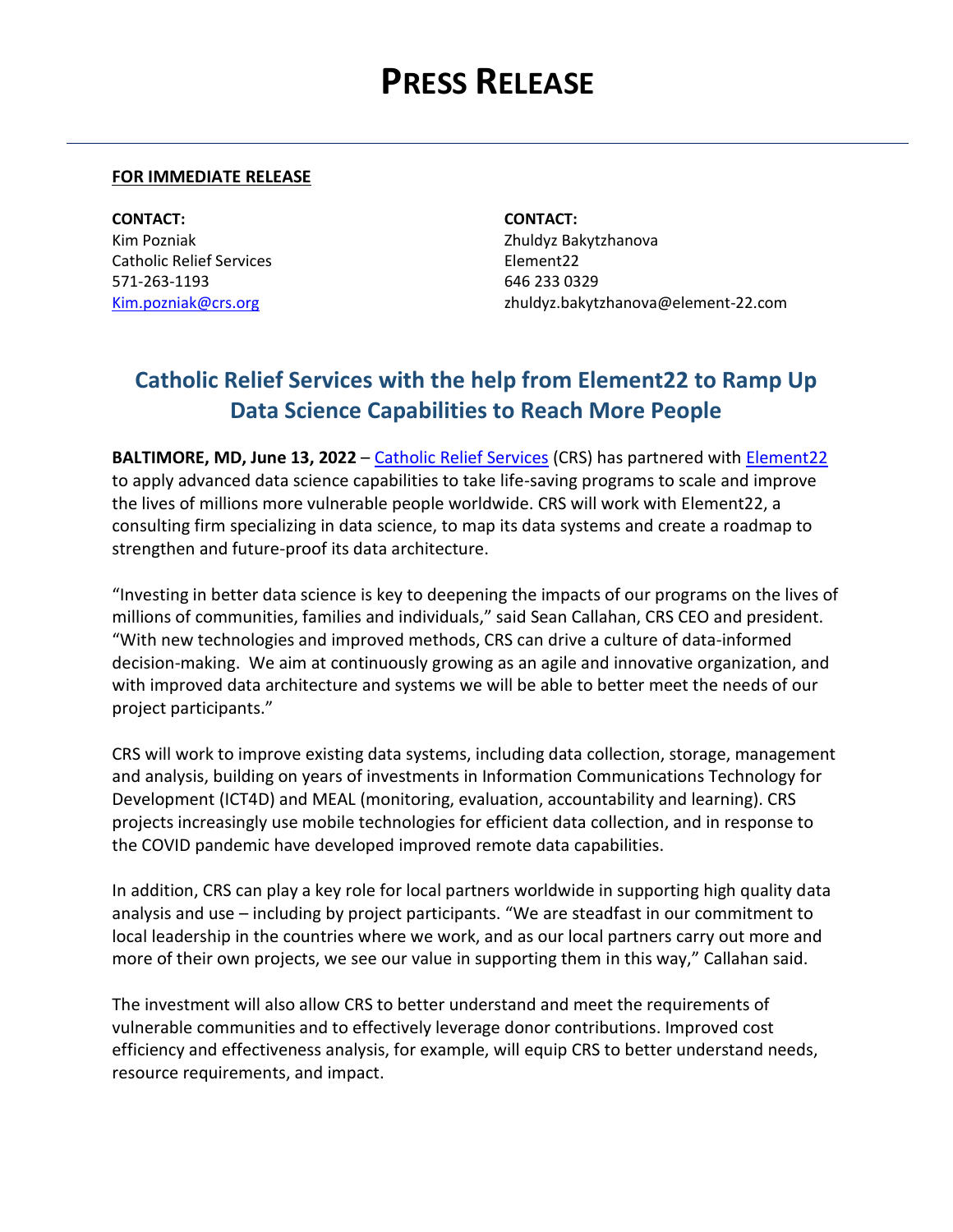## **PRESS RELEASE**

## **FOR IMMEDIATE RELEASE**

**CONTACT: CONTACT:** Kim Pozniak Zhuldyz Bakytzhanova Catholic Relief Services **Element22** 571-263-1193 646 233 0329

[Kim.pozniak@crs.org](mailto:Kim.pozniak@crs.org) zhuldyz.bakytzhanova@element-22.com

## **Catholic Relief Services with the help from Element22 to Ramp Up Data Science Capabilities to Reach More People**

**BALTIMORE, MD, June 13, 2022** – [Catholic Relief Services](https://www.crs.org/) (CRS) has partnered with [Element22](http://element-22.com/) to apply advanced data science capabilities to take life-saving programs to scale and improve the lives of millions more vulnerable people worldwide. CRS will work with Element22, a consulting firm specializing in data science, to map its data systems and create a roadmap to strengthen and future-proof its data architecture.

"Investing in better data science is key to deepening the impacts of our programs on the lives of millions of communities, families and individuals," said Sean Callahan, CRS CEO and president. "With new technologies and improved methods, CRS can drive a culture of data-informed decision-making. We aim at continuously growing as an agile and innovative organization, and with improved data architecture and systems we will be able to better meet the needs of our project participants."

CRS will work to improve existing data systems, including data collection, storage, management and analysis, building on years of investments in Information Communications Technology for Development (ICT4D) and MEAL (monitoring, evaluation, accountability and learning). CRS projects increasingly use mobile technologies for efficient data collection, and in response to the COVID pandemic have developed improved remote data capabilities.

In addition, CRS can play a key role for local partners worldwide in supporting high quality data analysis and use – including by project participants. "We are steadfast in our commitment to local leadership in the countries where we work, and as our local partners carry out more and more of their own projects, we see our value in supporting them in this way," Callahan said.

The investment will also allow CRS to better understand and meet the requirements of vulnerable communities and to effectively leverage donor contributions. Improved cost efficiency and effectiveness analysis, for example, will equip CRS to better understand needs, resource requirements, and impact.